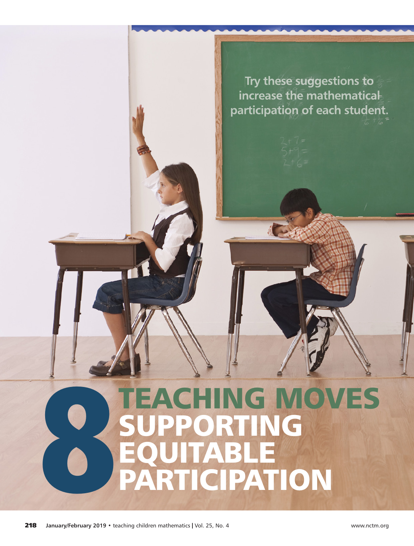**Try these suggestions to increase the mathematical participation of each student.**

# TEACHING MOVES UPPORTING EQUITABLE PARTICIPATION 8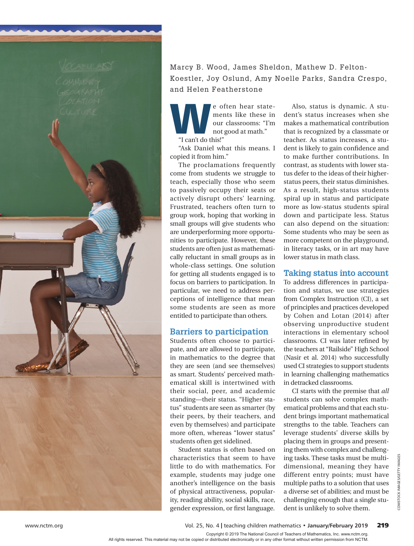

### Marcy B. Wood, James Sheldon, Mathew D. Felton-Koestler, Joy Oslund, Amy Noelle Parks, Sandra Crespo, and Helen Featherstone

e often hear state-<br>ments like these in<br>our classrooms: "I'm<br>not good at math." ments like these in our classrooms: "I'm not good at math." "I can't do this!"

"Ask Daniel what this means. I copied it from him."

The proclamations frequently come from students we struggle to teach, especially those who seem to passively occupy their seats or actively disrupt others' learning. Frustrated, teachers often turn to group work, hoping that working in small groups will give students who are underperforming more opportunities to participate. However, these students are often just as mathematically reluctant in small groups as in whole-class settings. One solution for getting all students engaged is to focus on barriers to participation. In particular, we need to address perceptions of intelligence that mean some students are seen as more entitled to participate than others.

#### **Barriers to participation**

Students often choose to participate, and are allowed to participate, in mathematics to the degree that they are seen (and see themselves) as smart. Students' perceived mathematical skill is intertwined with their social, peer, and academic standing—their status. "Higher status" students are seen as smarter (by their peers, by their teachers, and even by themselves) and participate more often, whereas "lower status" students often get sidelined.

Student status is often based on characteristics that seem to have little to do with mathematics. For example, students may judge one another's intelligence on the basis of physical attractiveness, popularity, reading ability, social skills, race, gender expression, or first language.

Also, status is dynamic. A student's status increases when she makes a mathematical contribution that is recognized by a classmate or teacher. As status increases, a student is likely to gain confidence and to make further contributions. In contrast, as students with lower status defer to the ideas of their higherstatus peers, their status diminishes. As a result, high-status students spiral up in status and participate more as low-status students spiral down and participate less. Status can also depend on the situation: Some students who may be seen as more competent on the playground, in literacy tasks, or in art may have lower status in math class.

#### **Taking status into account**

To address differences in participation and status, we use strategies from Complex Instruction (CI), a set of principles and practices developed by Cohen and Lotan (2014) after observing unproductive student interactions in elementary school classrooms. CI was later refined by the teachers at "Railside" High School (Nasir et al. 2014) who successfully used CI strategies to support students in learning challenging mathematics in detracked classrooms.

CI starts with the premise that *all* students can solve complex mathematical problems and that each student brings important mathematical strengths to the table. Teachers can leverage students' diverse skills by placing them in groups and presenting them with complex and challenging tasks. These tasks must be multidimensional, meaning they have different entry points; must have multiple paths to a solution that uses a diverse set of abilities; and must be challenging enough that a single student is unlikely to solve them.

www.nctm.org Vol. 25, No. 4 **|** teaching children mathematics • **January/February 2019** 219

Copyright © 2019 The National Council of Teachers of Mathematics, Inc. www.nctm.org. All rights reserved. This material may not be copied or distributed electronically or in any other format without written permission from NCTM.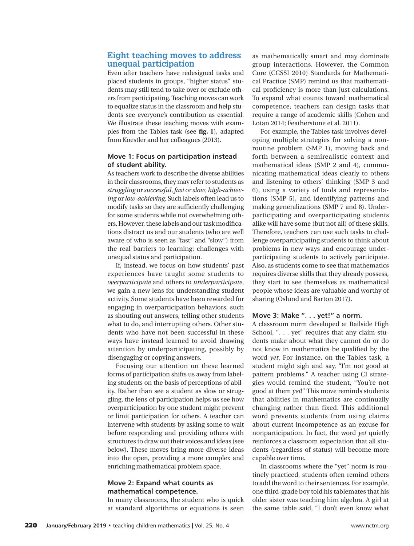#### **Eight teaching moves to address unequal participation**

Even after teachers have redesigned tasks and placed students in groups, "higher status" students may still tend to take over or exclude others from participating. Teaching moves can work to equalize status in the classroom and help students see everyone's contribution as essential. We illustrate these teaching moves with examples from the Tables task (see **fig. 1**), adapted from Koestler and her colleagues (2013).

#### **Move 1: Focus on participation instead of student ability.**

As teachers work to describe the diverse abilities in their classrooms, they may refer to students as *struggling* or *successful*, *fast* or *slow*, *high-achieving* or *low-achieving*. Such labels often lead us to modify tasks so they are sufficiently challenging for some students while not overwhelming others. However, these labels and our task modifications distract us and our students (who are well aware of who is seen as "fast" and "slow") from the real barriers to learning: challenges with unequal status and participation.

If, instead, we focus on how students' past experiences have taught some students to *overparticipate* and others to *underparticipate*, we gain a new lens for understanding student activity. Some students have been rewarded for engaging in overparticipation behaviors, such as shouting out answers, telling other students what to do, and interrupting others. Other students who have not been successful in these ways have instead learned to avoid drawing attention by underparticipating, possibly by disengaging or copying answers.

Focusing our attention on these learned forms of participation shifts us away from labeling students on the basis of perceptions of ability. Rather than see a student as slow or struggling, the lens of participation helps us see how overparticipation by one student might prevent or limit participation for others. A teacher can intervene with students by asking some to wait before responding and providing others with structures to draw out their voices and ideas (see below). These moves bring more diverse ideas into the open, providing a more complex and enriching mathematical problem space.

#### **Move 2: Expand what counts as mathematical competence.**

In many classrooms, the student who is quick at standard algorithms or equations is seen

as mathematically smart and may dominate group interactions. However, the Common Core (CCSSI 2010) Standards for Mathematical Practice (SMP) remind us that mathematical proficiency is more than just calculations. To expand what counts toward mathematical competence, teachers can design tasks that require a range of academic skills (Cohen and Lotan 2014; Featherstone et al. 2011).

For example, the Tables task involves developing multiple strategies for solving a nonroutine problem (SMP 1), moving back and forth between a semirealistic context and mathematical ideas (SMP 2 and 4), communicating mathematical ideas clearly to others and listening to others' thinking (SMP 3 and 6), using a variety of tools and representations (SMP 5), and identifying patterns and making generalizations (SMP 7 and 8). Underparticipating and overparticipating students alike will have some (but not all) of these skills. Therefore, teachers can use such tasks to challenge overparticipating students to think about problems in new ways and encourage underparticipating students to actively participate. Also, as students come to see that mathematics requires diverse skills that they already possess, they start to see themselves as mathematical people whose ideas are valuable and worthy of sharing (Oslund and Barton 2017).

#### **Move 3: Make ". . . yet!" a norm.**

A classroom norm developed at Railside High School, ". . . yet" requires that any claim students make about what they cannot do or do not know in mathematics be qualified by the word *yet*. For instance, on the Tables task, a student might sigh and say, "I'm not good at pattern problems." A teacher using CI strategies would remind the student, "You're not good at them *yet*!" This move reminds students that abilities in mathematics are continually changing rather than fixed. This additional word prevents students from using claims about current incompetence as an excuse for nonparticipation. In fact, the word *yet* quietly reinforces a classroom expectation that all students (regardless of status) will become more capable over time.

In classrooms where the "yet" norm is routinely practiced, students often remind others to add the word to their sentences. For example, one third-grade boy told his tablemates that his older sister was teaching him algebra. A girl at the same table said, "I don't even know what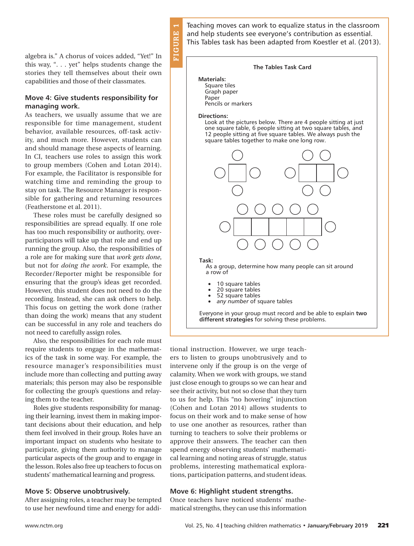algebra is." A chorus of voices added, "Yet!" In this way, ". . . yet" helps students change the stories they tell themselves about their own capabilities and those of their classmates.

#### **Move 4: Give students responsibility for managing work.**

As teachers, we usually assume that we are responsible for time management, student behavior, available resources, off-task activity, and much more. However, students can and should manage these aspects of learning. In CI, teachers use roles to assign this work to group members (Cohen and Lotan 2014). For example, the Facilitator is responsible for watching time and reminding the group to stay on task. The Resource Manager is responsible for gathering and returning resources (Featherstone et al. 2011).

These roles must be carefully designed so responsibilities are spread equally. If one role has too much responsibility or authority, overparticipators will take up that role and end up running the group. Also, the responsibilities of a role are for making sure that *work gets done*, but not for *doing the work*. For example, the Recorder/Reporter might be responsible for ensuring that the group's ideas get recorded. However, this student does not need to do the recording. Instead, she can ask others to help. This focus on getting the work done (rather than doing the work) means that any student can be successful in any role and teachers do not need to carefully assign roles.

Also, the responsibilities for each role must require students to engage in the mathematics of the task in some way. For example, the resource manager's responsibilities must include more than collecting and putting away materials; this person may also be responsible for collecting the group's questions and relaying them to the teacher.

Roles give students responsibility for managing their learning, invest them in making important decisions about their education, and help them feel involved in their group. Roles have an important impact on students who hesitate to participate, giving them authority to manage particular aspects of the group and to engage in the lesson. Roles also free up teachers to focus on students' mathematical learning and progress.

#### **Move 5: Observe unobtrusively.**

After assigning roles, a teacher may be tempted to use her newfound time and energy for addiTeaching moves can work to equalize status in the classroom and help students see everyone's contribution as essential. This Tables task has been adapted from Koestler et al. (2013).

#### **The Tables Task Card**

**Materials:** Square tiles Graph paper Paper

Pencils or markers

#### **Directions:**

**FIGURE 1**

**FIGUR** 

Ē.

Look at the pictures below. There are 4 people sitting at just one square table, 6 people sitting at two square tables, and 12 people sitting at five square tables. We always push the square tables together to make one long row.



Everyone in your group must record and be able to explain **two different strategies** for solving these problems.

tional instruction. However, we urge teachers to listen to groups unobtrusively and to intervene only if the group is on the verge of calamity. When we work with groups, we stand just close enough to groups so we can hear and see their activity, but not so close that they turn to us for help. This "no hovering" injunction (Cohen and Lotan 2014) allows students to focus on their work and to make sense of how to use one another as resources, rather than turning to teachers to solve their problems or approve their answers. The teacher can then spend energy observing students' mathematical learning and noting areas of struggle, status problems, interesting mathematical explorations, participation patterns, and student ideas.

#### **Move 6: Highlight student strengths.**

Once teachers have noticed students' mathematical strengths, they can use this information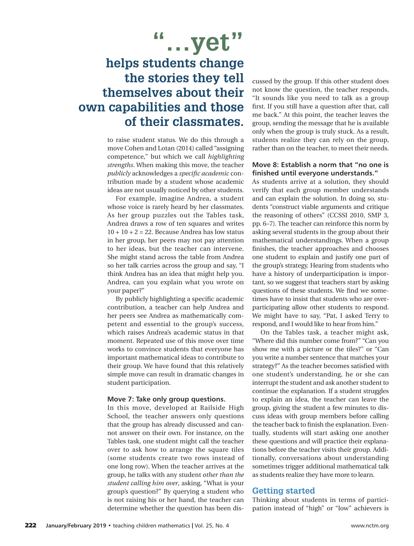**"…yet"**

## **helps students change the stories they tell themselves about their own capabilities and those of their classmates.**

to raise student status. We do this through a move Cohen and Lotan (2014) called "assigning competence," but which we call *highlighting strengths*. When making this move, the teacher *publicly* acknowledges a *specific academic* contribution made by a student whose academic ideas are not usually noticed by other students.

For example, imagine Andrea, a student whose voice is rarely heard by her classmates. As her group puzzles out the Tables task, Andrea draws a row of ten squares and writes  $10 + 10 + 2 = 22$ . Because Andrea has low status in her group, her peers may not pay attention to her ideas, but the teacher can intervene. She might stand across the table from Andrea so her talk carries across the group and say, "I think Andrea has an idea that might help you. Andrea, can you explain what you wrote on your paper?"

By publicly highlighting a specific academic contribution, a teacher can help Andrea and her peers see Andrea as mathematically competent and essential to the group's success, which raises Andrea's academic status in that moment. Repeated use of this move over time works to convince students that everyone has important mathematical ideas to contribute to their group. We have found that this relatively simple move can result in dramatic changes in student participation.

#### **Move 7: Take only group questions.**

In this move, developed at Railside High School, the teacher answers only questions that the group has already discussed and cannot answer on their own. For instance, on the Tables task, one student might call the teacher over to ask how to arrange the square tiles (some students create two rows instead of one long row). When the teacher arrives at the group, he talks with any student *other than the student calling him over*, asking, "What is your group's question?" By querying a student who is not raising his or her hand, the teacher can determine whether the question has been discussed by the group. If this other student does not know the question, the teacher responds, "It sounds like you need to talk as a group first. If you still have a question after that, call me back." At this point, the teacher leaves the group, sending the message that he is available only when the group is truly stuck. As a result, students realize they can rely on the group, rather than on the teacher, to meet their needs.

#### **Move 8: Establish a norm that "no one is finished until everyone understands."**

As students arrive at a solution, they should verify that each group member understands and can explain the solution. In doing so, students "construct viable arguments and critique the reasoning of others" (CCSSI 2010, SMP 3, pp. 6–7). The teacher can reinforce this norm by asking several students in the group about their mathematical understandings. When a group finishes, the teacher approaches and chooses one student to explain and justify one part of the group's strategy. Hearing from students who have a history of underparticipation is important, so we suggest that teachers start by asking questions of these students. We find we sometimes have to insist that students who are overparticipating allow other students to respond. We might have to say, "Pat, I asked Terry to respond, and I would like to hear from him."

On the Tables task, a teacher might ask, "Where did this number come from?" "Can you show me with a picture or the tiles?" or "Can you write a number sentence that matches your strategy?" As the teacher becomes satisfied with one student's understanding, he or she can interrupt the student and ask another student to continue the explanation. If a student struggles to explain an idea, the teacher can leave the group, giving the student a few minutes to discuss ideas with group members before calling the teacher back to finish the explanation. Eventually, students will start asking one another these questions and will practice their explanations before the teacher visits their group. Additionally, conversations about understanding sometimes trigger additional mathematical talk as students realize they have more to learn.

#### **Getting started**

Thinking about students in terms of participation instead of "high" or "low" achievers is